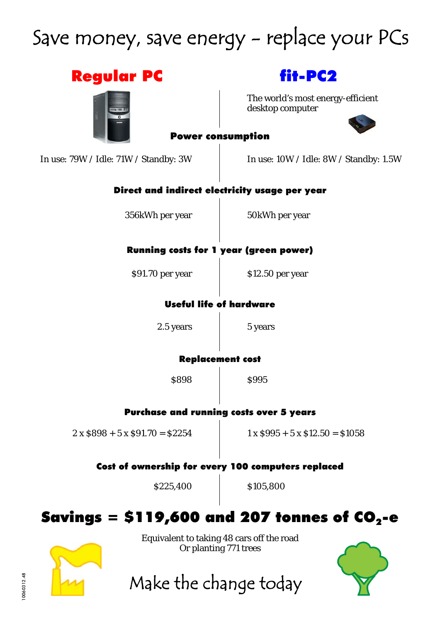## Save money, save energy - replace your PCs

| <b>Regular PC</b>                                                  | fit-PC2                                               |
|--------------------------------------------------------------------|-------------------------------------------------------|
|                                                                    | The world's most energy-efficient<br>desktop computer |
| <b>Power consumption</b>                                           |                                                       |
| In use: 79W / Idle: 71W / Standby: 3W                              | In use: $10W /$ Idle: $8W /$ Standby: 1.5W            |
| Direct and indirect electricity usage per year                     |                                                       |
| 356kWh per year                                                    | 50kWh per year                                        |
| <b>Running costs for 1 year (green power)</b>                      |                                                       |
| \$91.70 per year                                                   | \$12.50 per year                                      |
| <b>Useful life of hardware</b>                                     |                                                       |
| 2.5 years                                                          | 5 years                                               |
| <b>Replacement cost</b>                                            |                                                       |
| \$898                                                              | \$995                                                 |
| <b>Purchase and running costs over 5 years</b>                     |                                                       |
| $2 \times $898 + 5 \times $91.70 = $2254$                          | $1 \times $995 + 5 \times $12.50 = $1058$             |
| Cost of ownership for every 100 computers replaced                 |                                                       |
| \$225,400                                                          | \$105,800                                             |
|                                                                    | Savings = \$119,600 and 207 tonnes of $CO2$ -e        |
| Equivalent to taking 48 cars off the road<br>Or planting 771 trees |                                                       |
|                                                                    |                                                       |
| Make the change today                                              |                                                       |